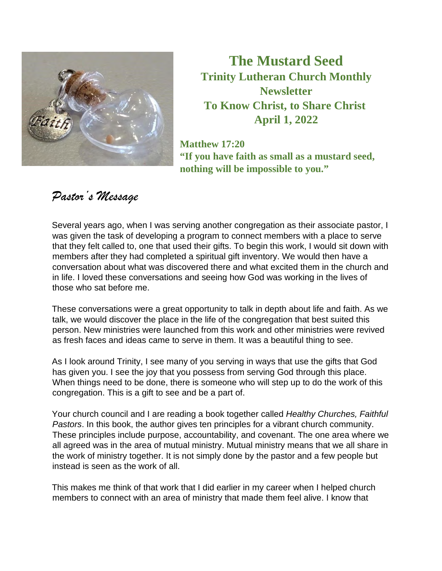

**The Mustard Seed Trinity Lutheran Church Monthly Newsletter To Know Christ, to Share Christ April 1, 2022** 

**Matthew 17:20 "If you have faith as small as a mustard seed, nothing will be impossible to you."** 

# *Pastor's Message*

Several years ago, when I was serving another congregation as their associate pastor, I was given the task of developing a program to connect members with a place to serve that they felt called to, one that used their gifts. To begin this work, I would sit down with members after they had completed a spiritual gift inventory. We would then have a conversation about what was discovered there and what excited them in the church and in life. I loved these conversations and seeing how God was working in the lives of those who sat before me.

These conversations were a great opportunity to talk in depth about life and faith. As we talk, we would discover the place in the life of the congregation that best suited this person. New ministries were launched from this work and other ministries were revived as fresh faces and ideas came to serve in them. It was a beautiful thing to see.

As I look around Trinity, I see many of you serving in ways that use the gifts that God has given you. I see the joy that you possess from serving God through this place. When things need to be done, there is someone who will step up to do the work of this congregation. This is a gift to see and be a part of.

Your church council and I are reading a book together called *Healthy Churches, Faithful Pastors*. In this book, the author gives ten principles for a vibrant church community. These principles include purpose, accountability, and covenant. The one area where we all agreed was in the area of mutual ministry. Mutual ministry means that we all share in the work of ministry together. It is not simply done by the pastor and a few people but instead is seen as the work of all.

This makes me think of that work that I did earlier in my career when I helped church members to connect with an area of ministry that made them feel alive. I know that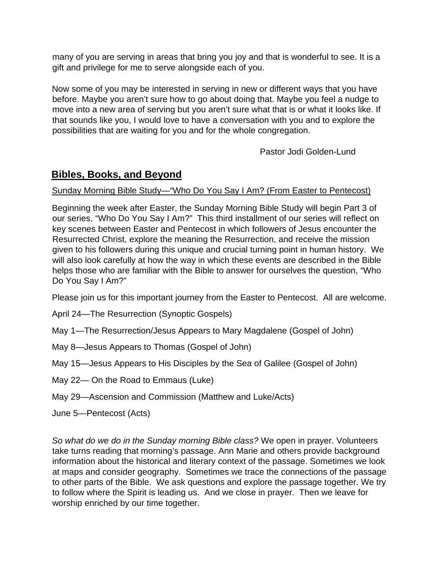many of you are serving in areas that bring you joy and that is wonderful to see. It is a gift and privilege for me to serve alongside each of you.

Now some of you may be interested in serving in new or different ways that you have before. Maybe you aren't sure how to go about doing that. Maybe you feel a nudge to move into a new area of serving but you aren't sure what that is or what it looks like. If that sounds like you, I would love to have a conversation with you and to explore the possibilities that are waiting for you and for the whole congregation.

Pastor Jodi Golden-Lund

# **Bibles, Books, and Beyond**

#### Sunday Morning Bible Study—"Who Do You Say I Am? (From Easter to Pentecost)

Beginning the week after Easter, the Sunday Morning Bible Study will begin Part 3 of our series, "Who Do You Say I Am?" This third installment of our series will reflect on key scenes between Easter and Pentecost in which followers of Jesus encounter the Resurrected Christ, explore the meaning the Resurrection, and receive the mission given to his followers during this unique and crucial turning point in human history. We will also look carefully at how the way in which these events are described in the Bible helps those who are familiar with the Bible to answer for ourselves the question, "Who Do You Say I Am?"

Please join us for this important journey from the Easter to Pentecost. All are welcome.

- April 24—The Resurrection (Synoptic Gospels)
- May 1—The Resurrection/Jesus Appears to Mary Magdalene (Gospel of John)
- May 8—Jesus Appears to Thomas (Gospel of John)
- May 15—Jesus Appears to His Disciples by the Sea of Galilee (Gospel of John)
- May 22— On the Road to Emmaus (Luke)
- May 29—Ascension and Commission (Matthew and Luke/Acts)
- June 5—Pentecost (Acts)

*So what do we do in the Sunday morning Bible class?* We open in prayer. Volunteers take turns reading that morning's passage. Ann Marie and others provide background information about the historical and literary context of the passage. Sometimes we look at maps and consider geography. Sometimes we trace the connections of the passage to other parts of the Bible. We ask questions and explore the passage together. We try to follow where the Spirit is leading us. And we close in prayer. Then we leave for worship enriched by our time together.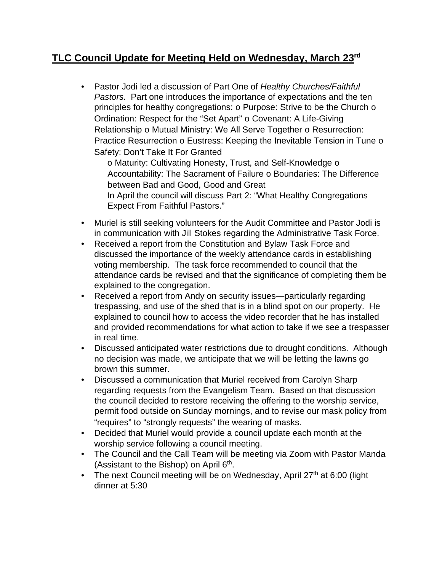# **TLC Council Update for Meeting Held on Wednesday, March 23rd**

• Pastor Jodi led a discussion of Part One of *Healthy Churches/Faithful Pastors.* Part one introduces the importance of expectations and the ten principles for healthy congregations: o Purpose: Strive to be the Church o Ordination: Respect for the "Set Apart" o Covenant: A Life-Giving Relationship o Mutual Ministry: We All Serve Together o Resurrection: Practice Resurrection o Eustress: Keeping the Inevitable Tension in Tune o Safety: Don't Take It For Granted

o Maturity: Cultivating Honesty, Trust, and Self-Knowledge o Accountability: The Sacrament of Failure o Boundaries: The Difference between Bad and Good, Good and Great In April the council will discuss Part 2: "What Healthy Congregations Expect From Faithful Pastors."

- Muriel is still seeking volunteers for the Audit Committee and Pastor Jodi is in communication with Jill Stokes regarding the Administrative Task Force.
- Received a report from the Constitution and Bylaw Task Force and discussed the importance of the weekly attendance cards in establishing voting membership. The task force recommended to council that the attendance cards be revised and that the significance of completing them be explained to the congregation.
- Received a report from Andy on security issues—particularly regarding trespassing, and use of the shed that is in a blind spot on our property. He explained to council how to access the video recorder that he has installed and provided recommendations for what action to take if we see a trespasser in real time.
- Discussed anticipated water restrictions due to drought conditions. Although no decision was made, we anticipate that we will be letting the lawns go brown this summer.
- Discussed a communication that Muriel received from Carolyn Sharp regarding requests from the Evangelism Team. Based on that discussion the council decided to restore receiving the offering to the worship service, permit food outside on Sunday mornings, and to revise our mask policy from "requires" to "strongly requests" the wearing of masks.
- Decided that Muriel would provide a council update each month at the worship service following a council meeting.
- The Council and the Call Team will be meeting via Zoom with Pastor Manda (Assistant to the Bishop) on April  $6<sup>th</sup>$ .
- The next Council meeting will be on Wednesday, April  $27<sup>th</sup>$  at 6:00 (light dinner at 5:30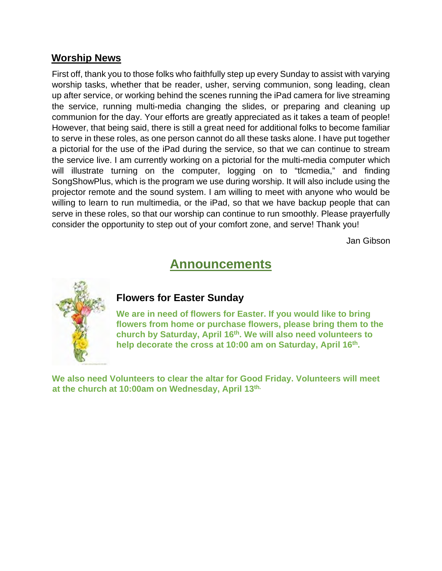## **Worship News**

First off, thank you to those folks who faithfully step up every Sunday to assist with varying worship tasks, whether that be reader, usher, serving communion, song leading, clean up after service, or working behind the scenes running the iPad camera for live streaming the service, running multi-media changing the slides, or preparing and cleaning up communion for the day. Your efforts are greatly appreciated as it takes a team of people! However, that being said, there is still a great need for additional folks to become familiar to serve in these roles, as one person cannot do all these tasks alone. I have put together a pictorial for the use of the iPad during the service, so that we can continue to stream the service live. I am currently working on a pictorial for the multi-media computer which will illustrate turning on the computer, logging on to "tlcmedia," and finding SongShowPlus, which is the program we use during worship. It will also include using the projector remote and the sound system. I am willing to meet with anyone who would be willing to learn to run multimedia, or the iPad, so that we have backup people that can serve in these roles, so that our worship can continue to run smoothly. Please prayerfully consider the opportunity to step out of your comfort zone, and serve! Thank you!

Jan Gibson

# **Announcements**



## **Flowers for Easter Sunday**

**We are in need of flowers for Easter. If you would like to bring flowers from home or purchase flowers, please bring them to the church by Saturday, April 16th. We will also need volunteers to**  help decorate the cross at 10:00 am on Saturday, April 16<sup>th</sup>.

**We also need Volunteers to clear the altar for Good Friday. Volunteers will meet at the church at 10:00am on Wednesday, April 13th.**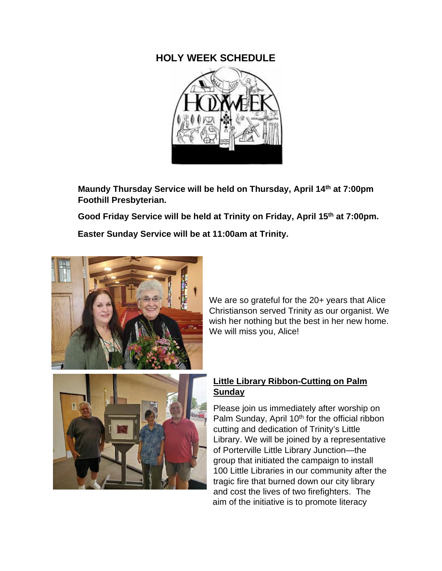## **HOLY WEEK SCHEDULE**



**Maundy Thursday Service will be held on Thursday, April 14th at 7:00pm Foothill Presbyterian.** 

 **Good Friday Service will be held at Trinity on Friday, April 15th at 7:00pm.** 

 **Easter Sunday Service will be at 11:00am at Trinity.** 



We are so grateful for the 20+ years that Alice Christianson served Trinity as our organist. We wish her nothing but the best in her new home. We will miss you, Alice!

#### **Little Library Ribbon-Cutting on Palm Sunday**

Please join us immediately after worship on Palm Sunday, April 10<sup>th</sup> for the official ribbon cutting and dedication of Trinity's Little Library. We will be joined by a representative of Porterville Little Library Junction—the group that initiated the campaign to install 100 Little Libraries in our community after the tragic fire that burned down our city library and cost the lives of two firefighters. The aim of the initiative is to promote literacy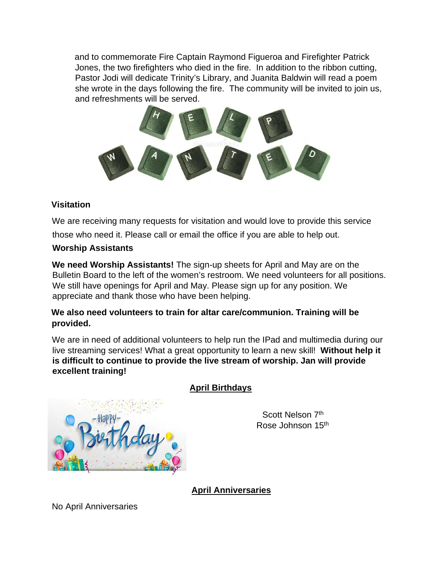and to commemorate Fire Captain Raymond Figueroa and Firefighter Patrick Jones, the two firefighters who died in the fire. In addition to the ribbon cutting, Pastor Jodi will dedicate Trinity's Library, and Juanita Baldwin will read a poem she wrote in the days following the fire. The community will be invited to join us, and refreshments will be served.



#### **Visitation**

We are receiving many requests for visitation and would love to provide this service

those who need it. Please call or email the office if you are able to help out.

#### **Worship Assistants**

**We need Worship Assistants!** The sign-up sheets for April and May are on the Bulletin Board to the left of the women's restroom. We need volunteers for all positions. We still have openings for April and May. Please sign up for any position. We appreciate and thank those who have been helping.

#### **We also need volunteers to train for altar care/communion. Training will be provided.**

We are in need of additional volunteers to help run the IPad and multimedia during our live streaming services! What a great opportunity to learn a new skill! **Without help it is difficult to continue to provide the live stream of worship. Jan will provide excellent training!** 



## **April Birthdays**

Scott Nelson 7<sup>th</sup> Rose Johnson 15th

**April Anniversaries**

No April Anniversaries